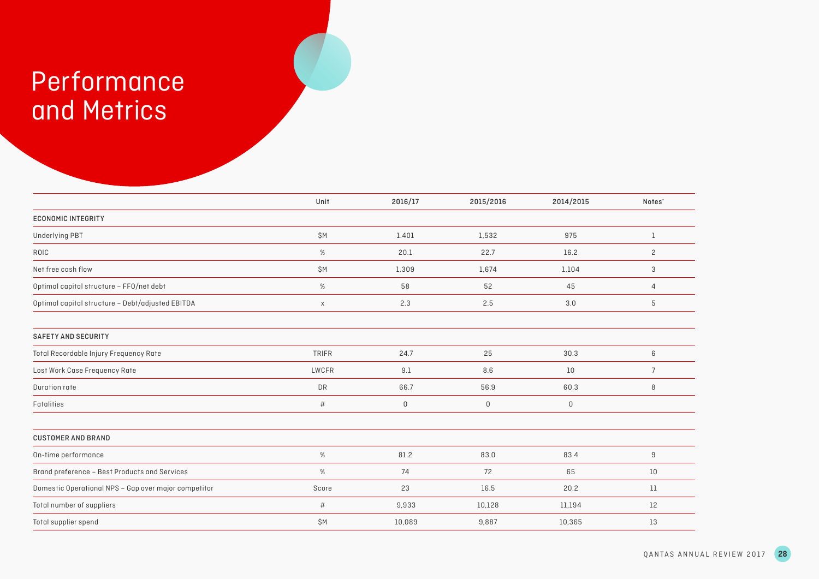## Performance and Metrics

|                                                      | Unit         | 2016/17     | 2015/2016   | 2014/2015   | Notes <sup>*</sup> |
|------------------------------------------------------|--------------|-------------|-------------|-------------|--------------------|
| <b>ECONOMIC INTEGRITY</b>                            |              |             |             |             |                    |
| <b>Underlying PBT</b>                                | \$Μ          | 1.401       | 1,532       | 975         | 1                  |
| ROIC                                                 | %            | 20.1        | 22.7        | 16.2        | $\mathbf{2}$       |
| Net free cash flow                                   | \$Μ          | 1,309       | 1,674       | 1,104       | 3                  |
| Optimal capital structure - FFO/net debt             | %            | 58          | 52          | 45          | 4                  |
| Optimal capital structure - Debt/adjusted EBITDA     | $\mathsf X$  | 2.3         | 2.5         | 3.0         | 5                  |
| <b>SAFETY AND SECURITY</b>                           |              |             |             |             |                    |
| Total Recordable Injury Frequency Rate               | <b>TRIFR</b> | 24.7        | 25          | 30.3        | 6                  |
| Lost Work Case Frequency Rate                        | LWCFR        | 9.1         | 8.6         | 10          | $\overline{7}$     |
| Duration rate                                        | <b>DR</b>    | 66.7        | 56.9        | 60.3        | 8                  |
| Fatalities                                           | $\#$         | $\mathsf 0$ | $\mathsf 0$ | $\mathsf 0$ |                    |
| <b>CUSTOMER AND BRAND</b>                            |              |             |             |             |                    |
| On-time performance                                  | $\%$         | 81.2        | 83.0        | 83.4        | 9                  |
| Brand preference - Best Products and Services        | $\%$         | 74          | 72          | 65          | 10                 |
| Domestic Operational NPS - Gap over major competitor | Score        | 23          | 16.5        | 20.2        | 11                 |
| Total number of suppliers                            | #            | 9,933       | 10,128      | 11,194      | 12                 |
| Total supplier spend                                 | \$M          | 10,089      | 9,887       | 10,365      | 13                 |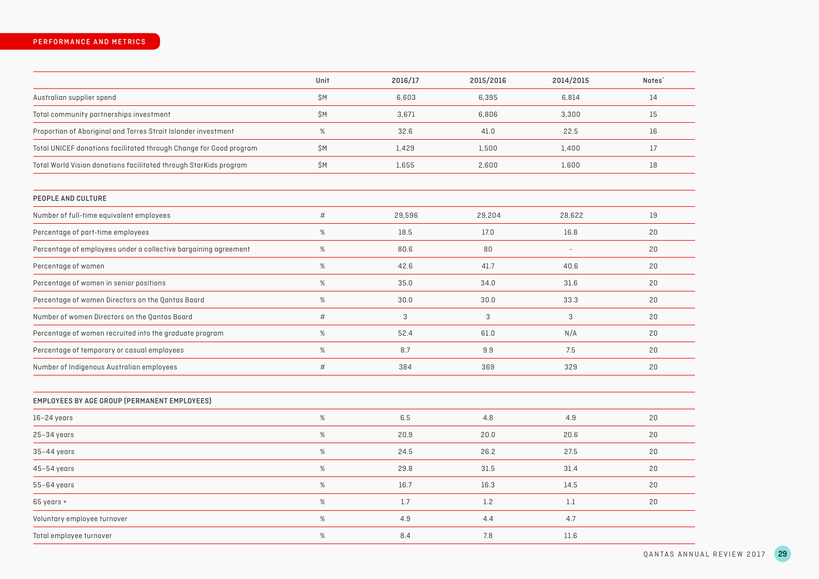|                                                                    | Unit | 2016/17 | 2015/2016 | 2014/2015                | Notes <sup>*</sup> |
|--------------------------------------------------------------------|------|---------|-----------|--------------------------|--------------------|
| Australian supplier spend                                          | \$M  | 6,603   | 6,395     | 6,814                    | 14                 |
| Total community partnerships investment                            | \$M  | 3,671   | 6,806     | 3,300                    | 15                 |
| Proportion of Aboriginal and Torres Strait Islander investment     | $\%$ | 32.6    | 41.0      | 22.5                     | 16                 |
| Total UNICEF donations facilitated through Change for Good program | \$Μ  | 1,429   | 1,500     | 1,400                    | 17                 |
| Total World Vision donations facilitated through StarKids program  | \$Μ  | 1,655   | 2,600     | 1,600                    | 18                 |
| PEOPLE AND CULTURE                                                 |      |         |           |                          |                    |
| Number of full-time equivalent employees                           | $\#$ | 29,596  | 29,204    | 28,622                   | 19                 |
| Percentage of part-time employees                                  | %    | 18.5    | 17.0      | 16.8                     | 20                 |
| Percentage of employees under a collective bargaining agreement    | $\%$ | 80.6    | 80        | $\overline{\phantom{a}}$ | 20                 |
| Percentage of women                                                | %    | 42.6    | 41.7      | 40.6                     | 20                 |
| Percentage of women in senior positions                            | $\%$ | 35.0    | 34.0      | 31.6                     | 20                 |
| Percentage of women Directors on the Qantas Board                  | $\%$ | 30.0    | 30.0      | 33.3                     | 20                 |
| Number of women Directors on the Qantas Board                      | $\#$ | 3       | 3         | 3                        | 20                 |
| Percentage of women recruited into the graduate program            | $\%$ | 52.4    | 61.0      | N/A                      | 20                 |
| Percentage of temporary or casual employees                        | $\%$ | 8.7     | 9.9       | 7.5                      | 20                 |
| Number of Indigenous Australian employees                          | $\#$ | 384     | 369       | 329                      | 20                 |
| EMPLOYEES BY AGE GROUP (PERMANENT EMPLOYEES)                       |      |         |           |                          |                    |
| $16-24$ years                                                      | $\%$ | 6.5     | 4.8       | 4.9                      | 20                 |
| $25-34$ years                                                      | %    | 20.9    | 20.0      | 20.6                     | 20                 |
| $35-44$ years                                                      | $\%$ | 24.5    | 26.2      | 27.5                     | 20                 |
| $45-54$ years                                                      | $\%$ | 29.8    | 31.5      | 31.4                     | 20                 |
| $55-64$ years                                                      | $\%$ | 16.7    | 16.3      | 14.5                     | 20                 |
| 65 years +                                                         | $\%$ | 1.7     | 1.2       | 1.1                      | 20                 |
| Voluntary employee turnover                                        | %    | 4.9     | 4.4       | 4.7                      |                    |
| Total employee turnover                                            | %    | 8.4     | 7.8       | 11.6                     |                    |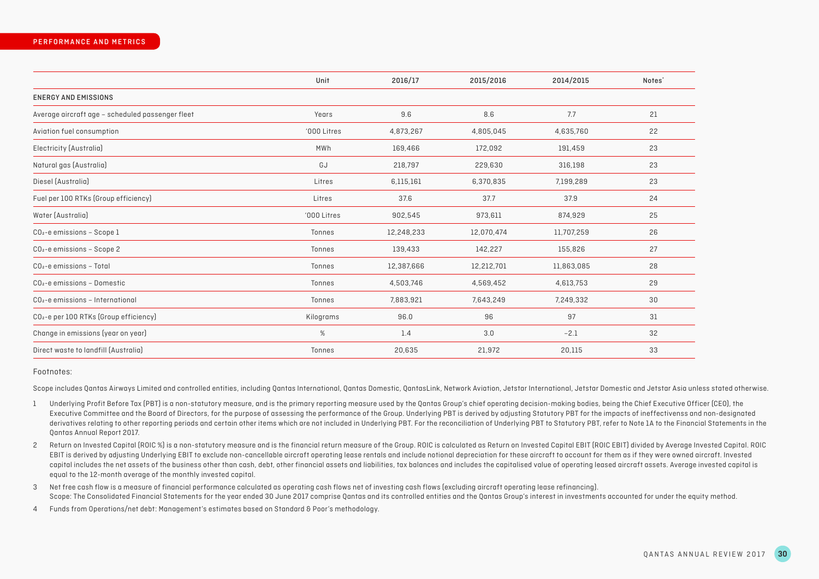|                                                    | Unit        | 2016/17    | 2015/2016  | 2014/2015  | Notes <sup>*</sup> |
|----------------------------------------------------|-------------|------------|------------|------------|--------------------|
| <b>ENERGY AND EMISSIONS</b>                        |             |            |            |            |                    |
| Average aircraft age - scheduled passenger fleet   | Years       | 9.6        | 8.6        | 7.7        | 21                 |
| Aviation fuel consumption                          | '000 Litres | 4,873,267  | 4,805,045  | 4,635,760  | 22                 |
| Electricity (Australia)                            | MWh         | 169,466    | 172,092    | 191,459    | 23                 |
| Natural gas (Australia)                            | GJ          | 218,797    | 229,630    | 316,198    | 23                 |
| Diesel (Australia)                                 | Litres      | 6,115,161  | 6,370,835  | 7,199,289  | 23                 |
| Fuel per 100 RTKs (Group efficiency)               | Litres      | 37.6       | 37.7       | 37.9       | 24                 |
| Water (Australia)                                  | '000 Litres | 902,545    | 973,611    | 874,929    | 25                 |
| $CO2$ -e emissions - Scope 1                       | Tonnes      | 12,248,233 | 12,070,474 | 11,707,259 | 26                 |
| $CO2$ -e emissions - Scope 2                       | Tonnes      | 139,433    | 142,227    | 155,826    | 27                 |
| $CO2$ -e emissions - Total                         | Tonnes      | 12,387,666 | 12,212,701 | 11,863,085 | 28                 |
| $CO2$ -e emissions - Domestic                      | Tonnes      | 4,503,746  | 4,569,452  | 4,613,753  | 29                 |
| CO <sub>2</sub> -e emissions - International       | Tonnes      | 7,883,921  | 7,643,249  | 7,249,332  | 30                 |
| CO <sub>2</sub> -e per 100 RTKs (Group efficiency) | Kilograms   | 96.0       | 96         | 97         | 31                 |
| Change in emissions (year on year)                 | %           | 1.4        | 3.0        | $-2.1$     | 32                 |
| Direct waste to landfill (Australia)               | Tonnes      | 20,635     | 21,972     | 20,115     | 33                 |

## Footnotes:

Scope includes Qantas Airways Limited and controlled entities, including Qantas International, Qantas Domestic, QantasLink, Network Aviation, Jetstar International, Jetstar Domestic and Jetstar Asia unless stated otherwise.

- 1 Underlying Profit Before Tax (PBT) is a non-statutory measure, and is the primary reporting measure used by the Qantas Group's chief operating decision-making bodies, being the Chief Executive Officer (CEO), the Executive Committee and the Board of Directors, for the purpose of assessing the performance of the Group. Underlying PBT is derived by adjusting Statutory PBT for the impacts of ineffectivenss and non-designated derivatives relating to other reporting periods and certain other items which are not included in Underlying PBT. For the reconciliation of Underlying PBT to Statutory PBT, refer to Note 1A to the Financial Statements in t Qantas Annual Report 2017.
- 2 Return on Invested Capital (ROIC %) is a non-statutory measure and is the financial return measure of the Group. ROIC is calculated as Return on Invested Capital EBIT (ROIC EBIT) divided by Average Invested Capital. ROIC EBIT is derived by adjusting Underlying EBIT to exclude non-cancellable aircraft operating lease rentals and include notional depreciation for these aircraft to account for them as if they were owned aircraft. Invested capital includes the net assets of the business other than cash, debt, other financial assets and liabilities, tax balances and includes the capitalised value of operating leased aircraft assets. Average invested capital is equal to the 12-month average of the monthly invested capital.
- 3 Net free cash flow is a measure of financial performance calculated as operating cash flows net of investing cash flows (excluding aircraft operating lease refinancing). Scope: The Consolidated Financial Statements for the year ended 30 June 2017 comprise Qantas and its controlled entities and the Qantas Group's interest in investments accounted for under the equity method.
- 4 Funds from Operations/net debt: Management's estimates based on Standard & Poor's methodology.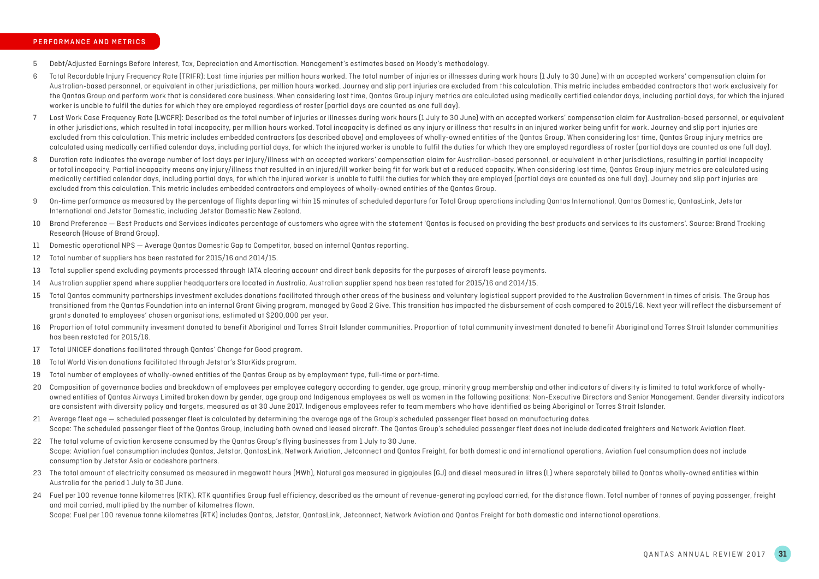## PERFORMANCE AND METRICS

- 5 Debt/Adjusted Earnings Before Interest, Tax, Depreciation and Amortisation. Management's estimates based on Moody's methodology.
- 6 Total Recordable Injury Frequency Rate (TRIFR): Lost time injuries per million hours worked. The total number of injuries or illnesses during work hours (1 July to 30 June) with an accepted workers' compensation claim for Australian-based personnel, or equivalent in other jurisdictions, per million hours worked. Journey and slip port injuries are excluded from this calculation. This metric includes embedded contractors that work exclusively the Qantas Group and perform work that is considered core business. When considering lost time, Qantas Group injury metrics are calculated using medically certified calendar days, including partial days, for which the inju worker is unable to fulfil the duties for which they are employed regardless of roster (partial days are counted as one full day).
- 7 Lost Work Case Frequency Rate (LWCFR): Described as the total number of injuries or illnesses during work hours (1 July to 30 June) with an accepted workers' compensation claim for Australian-based personnel, or equivalent in other jurisdictions, which resulted in total incapacity, per million hours worked. Total incapacity is defined as any injury or illness that results in an injured worker being unfit for work. Journey and slip port injur excluded from this calculation. This metric includes embedded contractors (as described above) and employees of wholly-owned entities of the Qantas Group. When considering lost time, Qantas Group injury metrics are calculated using medically certified calendar days, including partial days, for which the iniured worker is unable to fulfil the duties for which they are employed regardless of roster [partial days are counted as one full
- 8 Duration rate indicates the average number of lost days per injury/illness with an accepted workers' compensation claim for Australian-based personnel, or equivalent in other jurisdictions, resulting in partial incapacit or total incapacity. Partial incapacity means any injury/illness that resulted in an injured/ill worker being fit for work but at a reduced capacity. When considering lost time. Oantas Group injury metrics are calculated u medically certified calendar days, including partial days, for which the injured worker is unable to fulfil the duties for which they are employed (partial days are counted as one full day). Journey and slip port injuries excluded from this calculation. This metric includes embedded contractors and employees of wholly-owned entities of the Qantas Group.
- 9 On-time performance as measured by the percentage of flights departing within 15 minutes of scheduled departure for Total Group operations including Qantas International, Qantas Domestic, QantasLink, Jetstar International and Jetstar Domestic, including Jetstar Domestic New Zealand.
- 10 Brand Preference Best Products and Services indicates percentage of customers who agree with the statement 'Qantas is focused on providing the best products and services to its customers'. Source: Brand Tracking Research (House of Brand Group).
- 11 Domestic operational NPS Average Qantas Domestic Gap to Competitor, based on internal Qantas reporting.
- 12 Total number of suppliers has been restated for 2015/16 and 2014/15.
- 13 Total supplier spend excluding payments processed through IATA clearing account and direct bank deposits for the purposes of aircraft lease payments.
- 14 Australian supplier spend where supplier headquarters are located in Australia. Australian supplier spend has been restated for 2015/16 and 2014/15.
- 15 Total Qantas community partnerships investment excludes donations facilitated through other areas of the business and voluntary logistical support provided to the Australian Government in times of crisis. The Group has transitioned from the Qantas Foundation into an internal Grant Giving program, managed by Good 2 Give. This transition has impacted the disbursement of cash compared to 2015/16. Next year will reflect the disbursement of grants donated to employees' chosen organisations, estimated at \$200,000 per year.
- 16 Proportion of total community invesment donated to benefit Aboriginal and Torres Strait Islander communities. Proportion of total community investment donated to benefit Aboriginal and Torres Strait Islander communities has been restated for 2015/16.
- 17 Total UNICEF donations facilitated through Qantas' Change for Good program.
- 18 Total World Vision donations facilitated through Jetstar's StarKids program.
- 19 Total number of employees of wholly-owned entities of the Qantas Group as by employment type, full-time or part-time.
- 20 Composition of governance bodies and breakdown of employees per employee category according to gender, age group, minority group membership and other indicators of diversity is limited to total workforce of whollyowned entities of Qantas Airways Limited broken down by gender, age group and Indigenous employees as well as women in the following positions: Non-Executive Directors and Senior Management. Gender diversity indicators are consistent with diversity policy and targets, measured as at 30 June 2017. Indigenous employees refer to team members who have identified as being Aboriginal or Torres Strait Islander.
- 21 Average fleet age scheduled passenger fleet is calculated by determining the average age of the Group's scheduled passenger fleet based on manufacturing dates. Scope: The scheduled passenger fleet of the Qantas Group, including both owned and leased aircraft. The Qantas Group's scheduled passenger fleet does not include dedicated freighters and Network Aviation fleet.
- 22 The total volume of aviation kerosene consumed by the Qantas Group's flying businesses from 1 July to 30 June. Scope: Aviation fuel consumption includes Qantas, Jetstar, QantasLink, Network Aviation, Jetconnect and Qantas Freight, for both domestic and international operations. Aviation fuel consumption does not include consumption by Jetstar Asia or codeshare partners.
- 23 The total amount of electricity consumed as measured in megawatt hours (MWh), Natural gas measured in gigajoules (GJ) and diesel measured in litres (L) where separately billed to Qantas wholly-owned entities within Australia for the period 1 July to 30 June.
- 24 Fuel per 100 revenue tonne kilometres (RTK). RTK quantifies Group fuel efficiency, described as the amount of revenue-generating payload carried, for the distance flown. Total number of tonnes of paying passenger, freight and mail carried, multiplied by the number of kilometres flown.

Scope: Fuel per 100 revenue tonne kilometres (RTK) includes Qantas, Jetstar, QantasLink, Jetconnect, Network Aviation and Qantas Freight for both domestic and international operations.